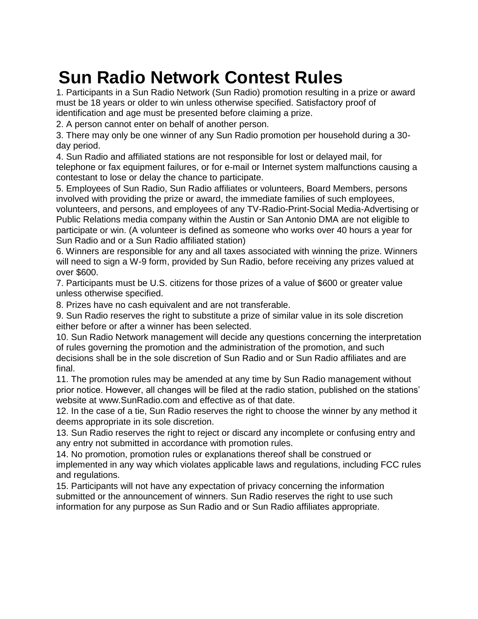## **Sun Radio Network Contest Rules**

1. Participants in a Sun Radio Network (Sun Radio) promotion resulting in a prize or award must be 18 years or older to win unless otherwise specified. Satisfactory proof of identification and age must be presented before claiming a prize.

2. A person cannot enter on behalf of another person.

3. There may only be one winner of any Sun Radio promotion per household during a 30 day period.

4. Sun Radio and affiliated stations are not responsible for lost or delayed mail, for telephone or fax equipment failures, or for e-mail or Internet system malfunctions causing a contestant to lose or delay the chance to participate.

5. Employees of Sun Radio, Sun Radio affiliates or volunteers, Board Members, persons involved with providing the prize or award, the immediate families of such employees, volunteers, and persons, and employees of any TV-Radio-Print-Social Media-Advertising or Public Relations media company within the Austin or San Antonio DMA are not eligible to participate or win. (A volunteer is defined as someone who works over 40 hours a year for Sun Radio and or a Sun Radio affiliated station)

6. Winners are responsible for any and all taxes associated with winning the prize. Winners will need to sign a W-9 form, provided by Sun Radio, before receiving any prizes valued at over \$600.

7. Participants must be U.S. citizens for those prizes of a value of \$600 or greater value unless otherwise specified.

8. Prizes have no cash equivalent and are not transferable.

9. Sun Radio reserves the right to substitute a prize of similar value in its sole discretion either before or after a winner has been selected.

10. Sun Radio Network management will decide any questions concerning the interpretation of rules governing the promotion and the administration of the promotion, and such decisions shall be in the sole discretion of Sun Radio and or Sun Radio affiliates and are final.

11. The promotion rules may be amended at any time by Sun Radio management without prior notice. However, all changes will be filed at the radio station, published on the stations' website at www.SunRadio.com and effective as of that date.

12. In the case of a tie, Sun Radio reserves the right to choose the winner by any method it deems appropriate in its sole discretion.

13. Sun Radio reserves the right to reject or discard any incomplete or confusing entry and any entry not submitted in accordance with promotion rules.

14. No promotion, promotion rules or explanations thereof shall be construed or implemented in any way which violates applicable laws and regulations, including FCC rules and regulations.

15. Participants will not have any expectation of privacy concerning the information submitted or the announcement of winners. Sun Radio reserves the right to use such information for any purpose as Sun Radio and or Sun Radio affiliates appropriate.